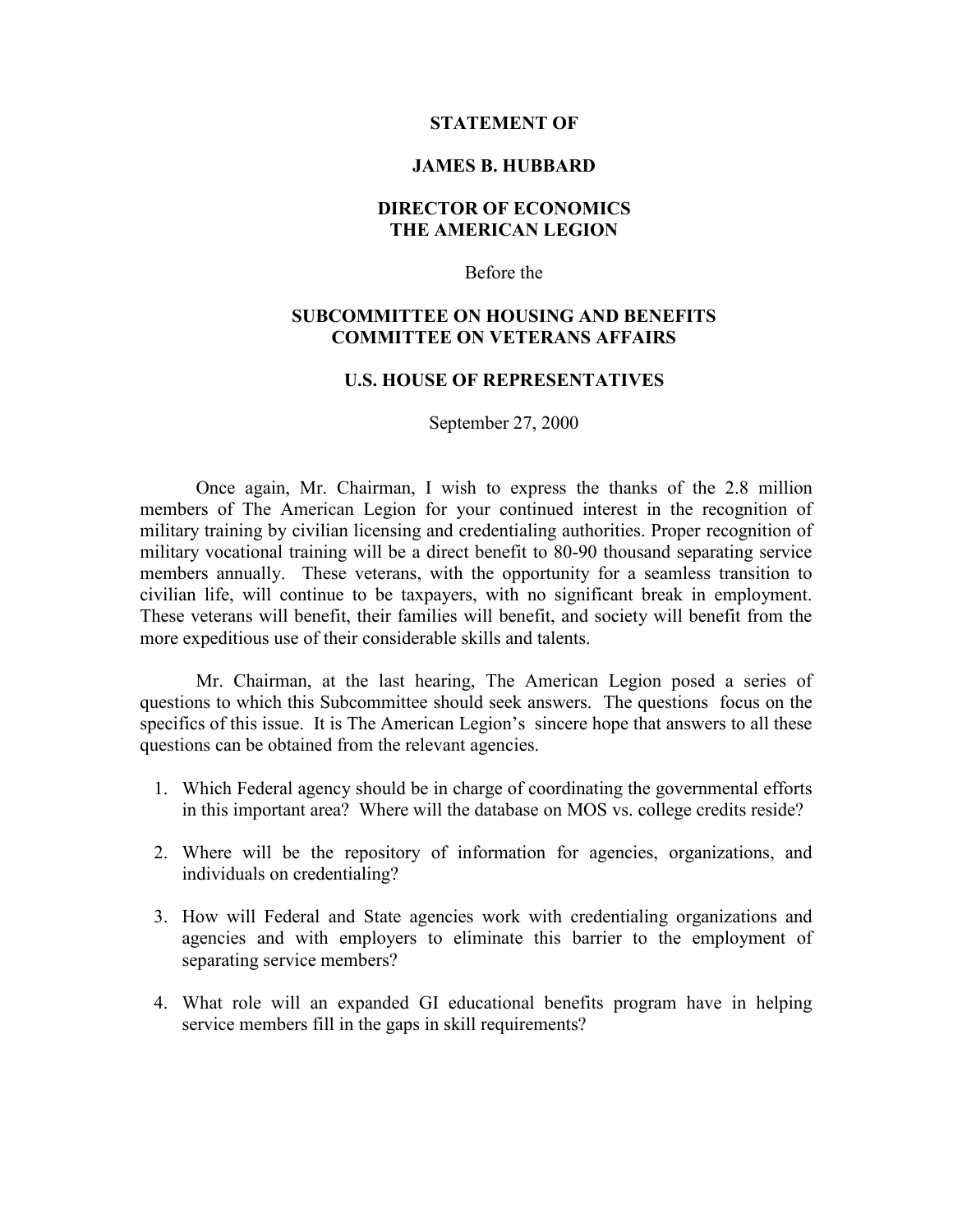### **STATEMENT OF**

#### **JAMES B. HUBBARD**

# **DIRECTOR OF ECONOMICS THE AMERICAN LEGION**

Before the

## **SUBCOMMITTEE ON HOUSING AND BENEFITS COMMITTEE ON VETERANS AFFAIRS**

## **U.S. HOUSE OF REPRESENTATIVES**

September 27, 2000

Once again, Mr. Chairman, I wish to express the thanks of the 2.8 million members of The American Legion for your continued interest in the recognition of military training by civilian licensing and credentialing authorities. Proper recognition of military vocational training will be a direct benefit to 80-90 thousand separating service members annually. These veterans, with the opportunity for a seamless transition to civilian life, will continue to be taxpayers, with no significant break in employment. These veterans will benefit, their families will benefit, and society will benefit from the more expeditious use of their considerable skills and talents.

Mr. Chairman, at the last hearing, The American Legion posed a series of questions to which this Subcommittee should seek answers. The questions focus on the specifics of this issue. It is The American Legion's sincere hope that answers to all these questions can be obtained from the relevant agencies.

- 1. Which Federal agency should be in charge of coordinating the governmental efforts in this important area? Where will the database on MOS vs. college credits reside?
- 2. Where will be the repository of information for agencies, organizations, and individuals on credentialing?
- 3. How will Federal and State agencies work with credentialing organizations and agencies and with employers to eliminate this barrier to the employment of separating service members?
- 4. What role will an expanded GI educational benefits program have in helping service members fill in the gaps in skill requirements?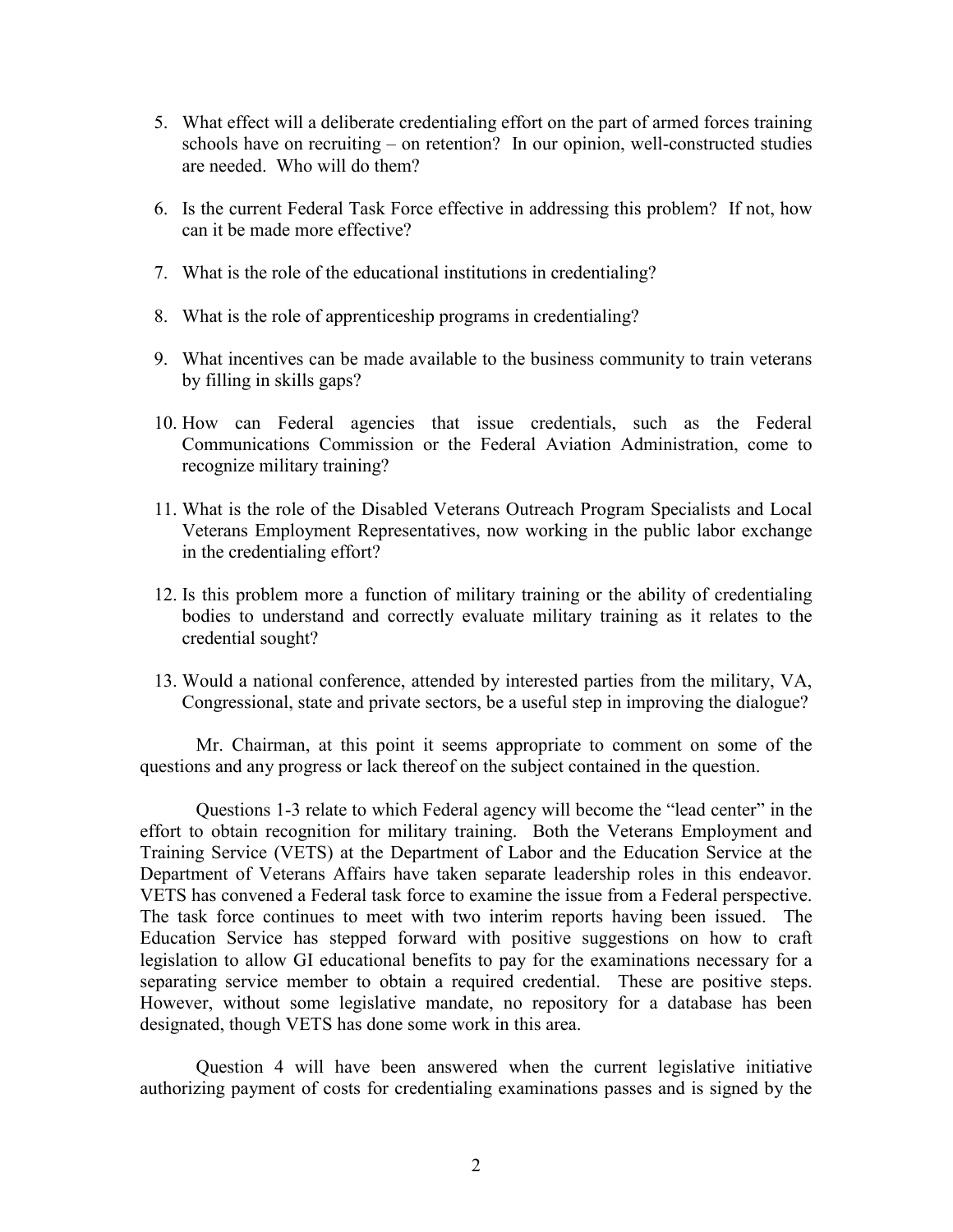- 5. What effect will a deliberate credentialing effort on the part of armed forces training schools have on recruiting – on retention? In our opinion, well-constructed studies are needed. Who will do them?
- 6. Is the current Federal Task Force effective in addressing this problem? If not, how can it be made more effective?
- 7. What is the role of the educational institutions in credentialing?
- 8. What is the role of apprenticeship programs in credentialing?
- 9. What incentives can be made available to the business community to train veterans by filling in skills gaps?
- 10. How can Federal agencies that issue credentials, such as the Federal Communications Commission or the Federal Aviation Administration, come to recognize military training?
- 11. What is the role of the Disabled Veterans Outreach Program Specialists and Local Veterans Employment Representatives, now working in the public labor exchange in the credentialing effort?
- 12. Is this problem more a function of military training or the ability of credentialing bodies to understand and correctly evaluate military training as it relates to the credential sought?
- 13. Would a national conference, attended by interested parties from the military, VA, Congressional, state and private sectors, be a useful step in improving the dialogue?

Mr. Chairman, at this point it seems appropriate to comment on some of the questions and any progress or lack thereof on the subject contained in the question.

Questions 1-3 relate to which Federal agency will become the "lead center" in the effort to obtain recognition for military training. Both the Veterans Employment and Training Service (VETS) at the Department of Labor and the Education Service at the Department of Veterans Affairs have taken separate leadership roles in this endeavor. VETS has convened a Federal task force to examine the issue from a Federal perspective. The task force continues to meet with two interim reports having been issued. The Education Service has stepped forward with positive suggestions on how to craft legislation to allow GI educational benefits to pay for the examinations necessary for a separating service member to obtain a required credential. These are positive steps. However, without some legislative mandate, no repository for a database has been designated, though VETS has done some work in this area.

Question 4 will have been answered when the current legislative initiative authorizing payment of costs for credentialing examinations passes and is signed by the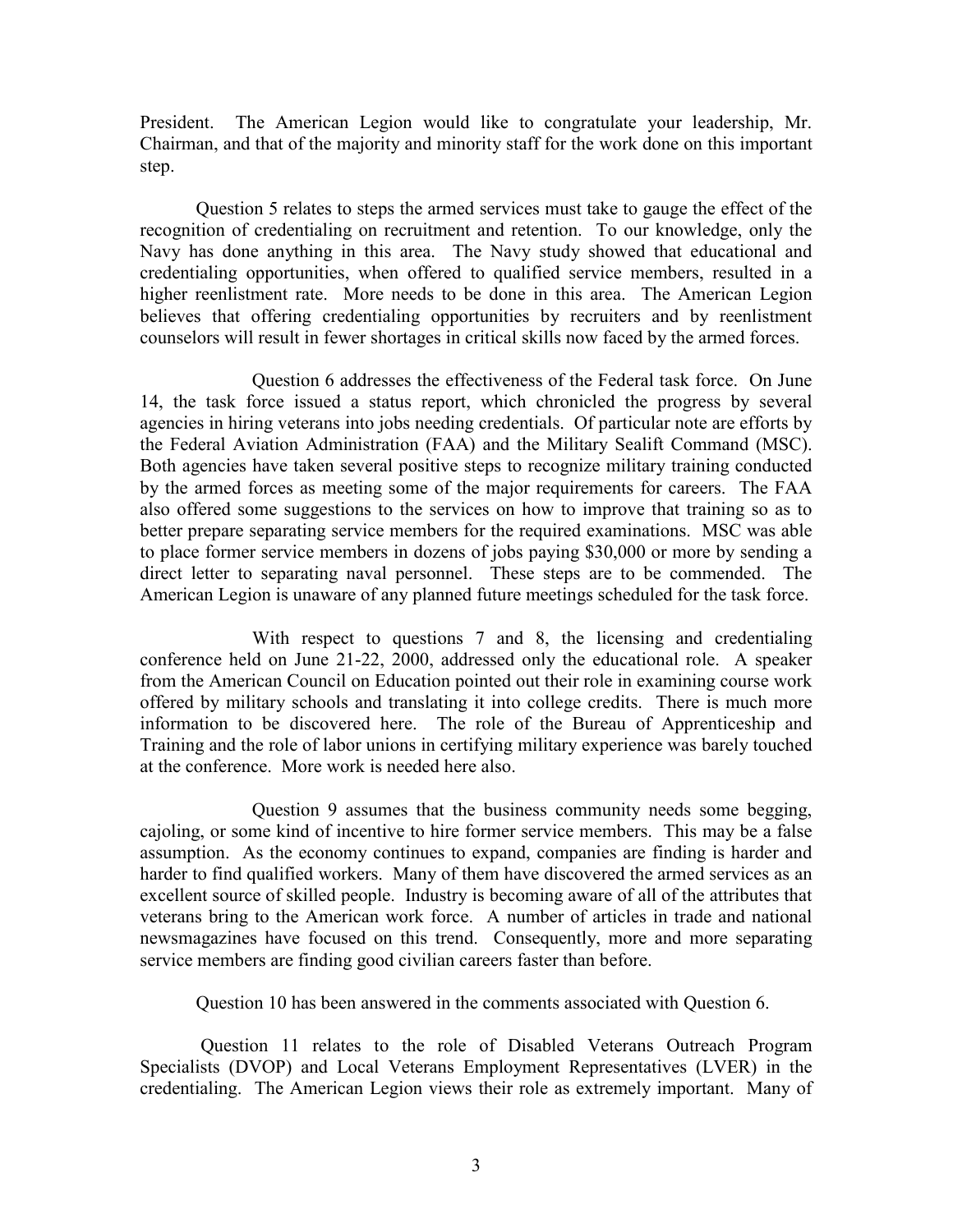President. The American Legion would like to congratulate your leadership, Mr. Chairman, and that of the majority and minority staff for the work done on this important step.

Question 5 relates to steps the armed services must take to gauge the effect of the recognition of credentialing on recruitment and retention. To our knowledge, only the Navy has done anything in this area. The Navy study showed that educational and credentialing opportunities, when offered to qualified service members, resulted in a higher reenlistment rate. More needs to be done in this area. The American Legion believes that offering credentialing opportunities by recruiters and by reenlistment counselors will result in fewer shortages in critical skills now faced by the armed forces.

Question 6 addresses the effectiveness of the Federal task force. On June 14, the task force issued a status report, which chronicled the progress by several agencies in hiring veterans into jobs needing credentials. Of particular note are efforts by the Federal Aviation Administration (FAA) and the Military Sealift Command (MSC). Both agencies have taken several positive steps to recognize military training conducted by the armed forces as meeting some of the major requirements for careers. The FAA also offered some suggestions to the services on how to improve that training so as to better prepare separating service members for the required examinations. MSC was able to place former service members in dozens of jobs paying \$30,000 or more by sending a direct letter to separating naval personnel. These steps are to be commended. The American Legion is unaware of any planned future meetings scheduled for the task force.

With respect to questions 7 and 8, the licensing and credentialing conference held on June 21-22, 2000, addressed only the educational role. A speaker from the American Council on Education pointed out their role in examining course work offered by military schools and translating it into college credits. There is much more information to be discovered here. The role of the Bureau of Apprenticeship and Training and the role of labor unions in certifying military experience was barely touched at the conference. More work is needed here also.

Question 9 assumes that the business community needs some begging, cajoling, or some kind of incentive to hire former service members. This may be a false assumption. As the economy continues to expand, companies are finding is harder and harder to find qualified workers. Many of them have discovered the armed services as an excellent source of skilled people. Industry is becoming aware of all of the attributes that veterans bring to the American work force. A number of articles in trade and national newsmagazines have focused on this trend. Consequently, more and more separating service members are finding good civilian careers faster than before.

Question 10 has been answered in the comments associated with Question 6.

Question 11 relates to the role of Disabled Veterans Outreach Program Specialists (DVOP) and Local Veterans Employment Representatives (LVER) in the credentialing. The American Legion views their role as extremely important. Many of